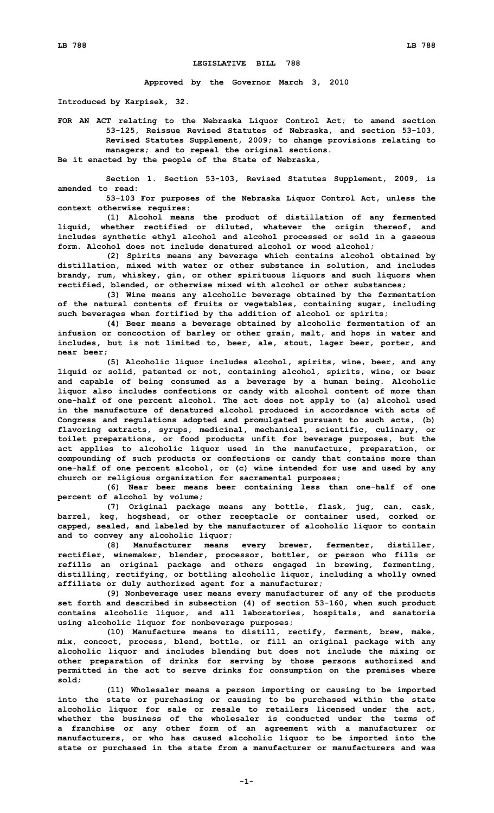## **LEGISLATIVE BILL 788**

**Approved by the Governor March 3, 2010**

**Introduced by Karpisek, 32.**

**FOR AN ACT relating to the Nebraska Liquor Control Act; to amend section 53-125, Reissue Revised Statutes of Nebraska, and section 53-103, Revised Statutes Supplement, 2009; to change provisions relating to managers; and to repeal the original sections.**

**Be it enacted by the people of the State of Nebraska,**

**Section 1. Section 53-103, Revised Statutes Supplement, 2009, is amended to read:**

**53-103 For purposes of the Nebraska Liquor Control Act, unless the context otherwise requires:**

**(1) Alcohol means the product of distillation of any fermented liquid, whether rectified or diluted, whatever the origin thereof, and includes synthetic ethyl alcohol and alcohol processed or sold in <sup>a</sup> gaseous form. Alcohol does not include denatured alcohol or wood alcohol;**

**(2) Spirits means any beverage which contains alcohol obtained by distillation, mixed with water or other substance in solution, and includes brandy, rum, whiskey, gin, or other spirituous liquors and such liquors when rectified, blended, or otherwise mixed with alcohol or other substances;**

**(3) Wine means any alcoholic beverage obtained by the fermentation of the natural contents of fruits or vegetables, containing sugar, including such beverages when fortified by the addition of alcohol or spirits;**

**(4) Beer means <sup>a</sup> beverage obtained by alcoholic fermentation of an infusion or concoction of barley or other grain, malt, and hops in water and includes, but is not limited to, beer, ale, stout, lager beer, porter, and near beer;**

**(5) Alcoholic liquor includes alcohol, spirits, wine, beer, and any liquid or solid, patented or not, containing alcohol, spirits, wine, or beer and capable of being consumed as <sup>a</sup> beverage by <sup>a</sup> human being. Alcoholic liquor also includes confections or candy with alcohol content of more than one-half of one percent alcohol. The act does not apply to (a) alcohol used in the manufacture of denatured alcohol produced in accordance with acts of Congress and regulations adopted and promulgated pursuant to such acts, (b) flavoring extracts, syrups, medicinal, mechanical, scientific, culinary, or toilet preparations, or food products unfit for beverage purposes, but the act applies to alcoholic liquor used in the manufacture, preparation, or compounding of such products or confections or candy that contains more than one-half of one percent alcohol, or (c) wine intended for use and used by any church or religious organization for sacramental purposes;**

**(6) Near beer means beer containing less than one-half of one percent of alcohol by volume;**

**(7) Original package means any bottle, flask, jug, can, cask, barrel, keg, hogshead, or other receptacle or container used, corked or capped, sealed, and labeled by the manufacturer of alcoholic liquor to contain and to convey any alcoholic liquor;**

**(8) Manufacturer means every brewer, fermenter, distiller, rectifier, winemaker, blender, processor, bottler, or person who fills or refills an original package and others engaged in brewing, fermenting, distilling, rectifying, or bottling alcoholic liquor, including <sup>a</sup> wholly owned affiliate or duly authorized agent for <sup>a</sup> manufacturer;**

**(9) Nonbeverage user means every manufacturer of any of the products set forth and described in subsection (4) of section 53-160, when such product contains alcoholic liquor, and all laboratories, hospitals, and sanatoria using alcoholic liquor for nonbeverage purposes;**

**(10) Manufacture means to distill, rectify, ferment, brew, make, mix, concoct, process, blend, bottle, or fill an original package with any alcoholic liquor and includes blending but does not include the mixing or other preparation of drinks for serving by those persons authorized and permitted in the act to serve drinks for consumption on the premises where sold;**

**(11) Wholesaler means <sup>a</sup> person importing or causing to be imported into the state or purchasing or causing to be purchased within the state alcoholic liquor for sale or resale to retailers licensed under the act, whether the business of the wholesaler is conducted under the terms of <sup>a</sup> franchise or any other form of an agreement with <sup>a</sup> manufacturer or manufacturers, or who has caused alcoholic liquor to be imported into the state or purchased in the state from <sup>a</sup> manufacturer or manufacturers and was**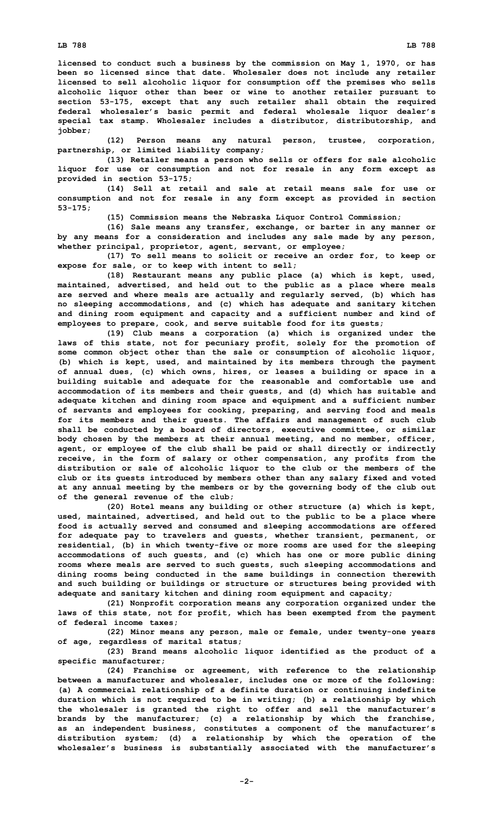**licensed to conduct such <sup>a</sup> business by the commission on May 1, 1970, or has been so licensed since that date. Wholesaler does not include any retailer licensed to sell alcoholic liquor for consumption off the premises who sells alcoholic liquor other than beer or wine to another retailer pursuant to section 53-175, except that any such retailer shall obtain the required federal wholesaler's basic permit and federal wholesale liquor dealer's special tax stamp. Wholesaler includes <sup>a</sup> distributor, distributorship, and jobber;**

**(12) Person means any natural person, trustee, corporation, partnership, or limited liability company;**

**(13) Retailer means <sup>a</sup> person who sells or offers for sale alcoholic liquor for use or consumption and not for resale in any form except as provided in section 53-175;**

**(14) Sell at retail and sale at retail means sale for use or consumption and not for resale in any form except as provided in section 53-175;**

**(15) Commission means the Nebraska Liquor Control Commission;**

**(16) Sale means any transfer, exchange, or barter in any manner or by any means for <sup>a</sup> consideration and includes any sale made by any person, whether principal, proprietor, agent, servant, or employee;**

**(17) To sell means to solicit or receive an order for, to keep or expose for sale, or to keep with intent to sell;**

**(18) Restaurant means any public place (a) which is kept, used, maintained, advertised, and held out to the public as <sup>a</sup> place where meals are served and where meals are actually and regularly served, (b) which has no sleeping accommodations, and (c) which has adequate and sanitary kitchen and dining room equipment and capacity and <sup>a</sup> sufficient number and kind of employees to prepare, cook, and serve suitable food for its guests;**

**(19) Club means <sup>a</sup> corporation (a) which is organized under the laws of this state, not for pecuniary profit, solely for the promotion of some common object other than the sale or consumption of alcoholic liquor, (b) which is kept, used, and maintained by its members through the payment of annual dues, (c) which owns, hires, or leases <sup>a</sup> building or space in <sup>a</sup> building suitable and adequate for the reasonable and comfortable use and accommodation of its members and their guests, and (d) which has suitable and adequate kitchen and dining room space and equipment and <sup>a</sup> sufficient number of servants and employees for cooking, preparing, and serving food and meals for its members and their guests. The affairs and management of such club shall be conducted by <sup>a</sup> board of directors, executive committee, or similar body chosen by the members at their annual meeting, and no member, officer, agent, or employee of the club shall be paid or shall directly or indirectly receive, in the form of salary or other compensation, any profits from the distribution or sale of alcoholic liquor to the club or the members of the club or its guests introduced by members other than any salary fixed and voted at any annual meeting by the members or by the governing body of the club out of the general revenue of the club;**

**(20) Hotel means any building or other structure (a) which is kept, used, maintained, advertised, and held out to the public to be <sup>a</sup> place where food is actually served and consumed and sleeping accommodations are offered for adequate pay to travelers and guests, whether transient, permanent, or residential, (b) in which twenty-five or more rooms are used for the sleeping accommodations of such guests, and (c) which has one or more public dining rooms where meals are served to such guests, such sleeping accommodations and dining rooms being conducted in the same buildings in connection therewith and such building or buildings or structure or structures being provided with adequate and sanitary kitchen and dining room equipment and capacity;**

**(21) Nonprofit corporation means any corporation organized under the laws of this state, not for profit, which has been exempted from the payment of federal income taxes;**

**(22) Minor means any person, male or female, under twenty-one years of age, regardless of marital status;**

**(23) Brand means alcoholic liquor identified as the product of <sup>a</sup> specific manufacturer;**

**(24) Franchise or agreement, with reference to the relationship between <sup>a</sup> manufacturer and wholesaler, includes one or more of the following: (a) <sup>A</sup> commercial relationship of <sup>a</sup> definite duration or continuing indefinite duration which is not required to be in writing; (b) <sup>a</sup> relationship by which the wholesaler is granted the right to offer and sell the manufacturer's brands by the manufacturer; (c) <sup>a</sup> relationship by which the franchise, as an independent business, constitutes <sup>a</sup> component of the manufacturer's distribution system; (d) <sup>a</sup> relationship by which the operation of the wholesaler's business is substantially associated with the manufacturer's**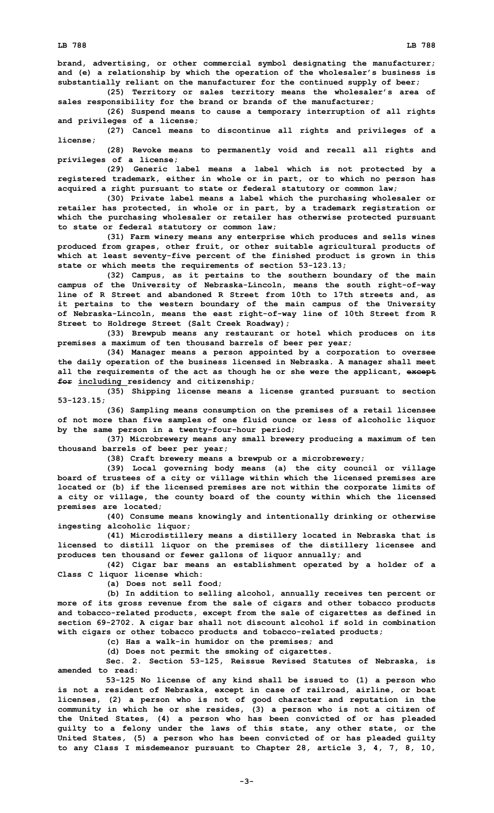**brand, advertising, or other commercial symbol designating the manufacturer; and (e) <sup>a</sup> relationship by which the operation of the wholesaler's business is substantially reliant on the manufacturer for the continued supply of beer;**

**(25) Territory or sales territory means the wholesaler's area of sales responsibility for the brand or brands of the manufacturer;**

**(26) Suspend means to cause <sup>a</sup> temporary interruption of all rights and privileges of <sup>a</sup> license;**

**(27) Cancel means to discontinue all rights and privileges of <sup>a</sup> license;**

**(28) Revoke means to permanently void and recall all rights and privileges of <sup>a</sup> license;**

**(29) Generic label means <sup>a</sup> label which is not protected by <sup>a</sup> registered trademark, either in whole or in part, or to which no person has acquired <sup>a</sup> right pursuant to state or federal statutory or common law;**

**(30) Private label means <sup>a</sup> label which the purchasing wholesaler or retailer has protected, in whole or in part, by <sup>a</sup> trademark registration or which the purchasing wholesaler or retailer has otherwise protected pursuant to state or federal statutory or common law;**

**(31) Farm winery means any enterprise which produces and sells wines produced from grapes, other fruit, or other suitable agricultural products of which at least seventy-five percent of the finished product is grown in this state or which meets the requirements of section 53-123.13;**

**(32) Campus, as it pertains to the southern boundary of the main campus of the University of Nebraska-Lincoln, means the south right-of-way line of R Street and abandoned R Street from 10th to 17th streets and, as it pertains to the western boundary of the main campus of the University of Nebraska-Lincoln, means the east right-of-way line of 10th Street from <sup>R</sup> Street to Holdrege Street (Salt Creek Roadway);**

**(33) Brewpub means any restaurant or hotel which produces on its premises <sup>a</sup> maximum of ten thousand barrels of beer per year;**

**(34) Manager means <sup>a</sup> person appointed by <sup>a</sup> corporation to oversee the daily operation of the business licensed in Nebraska. A manager shall meet all the requirements of the act as though he or she were the applicant, except for including residency and citizenship;**

**(35) Shipping license means <sup>a</sup> license granted pursuant to section 53-123.15;**

**(36) Sampling means consumption on the premises of <sup>a</sup> retail licensee of not more than five samples of one fluid ounce or less of alcoholic liquor by the same person in <sup>a</sup> twenty-four-hour period;**

**(37) Microbrewery means any small brewery producing <sup>a</sup> maximum of ten thousand barrels of beer per year;**

**(38) Craft brewery means <sup>a</sup> brewpub or <sup>a</sup> microbrewery;**

**(39) Local governing body means (a) the city council or village board of trustees of <sup>a</sup> city or village within which the licensed premises are located or (b) if the licensed premises are not within the corporate limits of <sup>a</sup> city or village, the county board of the county within which the licensed premises are located;**

**(40) Consume means knowingly and intentionally drinking or otherwise ingesting alcoholic liquor;**

**(41) Microdistillery means <sup>a</sup> distillery located in Nebraska that is licensed to distill liquor on the premises of the distillery licensee and produces ten thousand or fewer gallons of liquor annually; and**

**(42) Cigar bar means an establishment operated by <sup>a</sup> holder of <sup>a</sup> Class C liquor license which:**

**(a) Does not sell food;**

**(b) In addition to selling alcohol, annually receives ten percent or more of its gross revenue from the sale of cigars and other tobacco products and tobacco-related products, except from the sale of cigarettes as defined in section 69-2702. <sup>A</sup> cigar bar shall not discount alcohol if sold in combination with cigars or other tobacco products and tobacco-related products;**

**(c) Has <sup>a</sup> walk-in humidor on the premises; and**

**(d) Does not permit the smoking of cigarettes.**

**Sec. 2. Section 53-125, Reissue Revised Statutes of Nebraska, is amended to read:**

**53-125 No license of any kind shall be issued to (1) <sup>a</sup> person who is not <sup>a</sup> resident of Nebraska, except in case of railroad, airline, or boat licenses, (2) <sup>a</sup> person who is not of good character and reputation in the community in which he or she resides, (3) <sup>a</sup> person who is not <sup>a</sup> citizen of the United States, (4) <sup>a</sup> person who has been convicted of or has pleaded guilty to <sup>a</sup> felony under the laws of this state, any other state, or the United States, (5) <sup>a</sup> person who has been convicted of or has pleaded guilty to any Class <sup>I</sup> misdemeanor pursuant to Chapter 28, article 3, 4, 7, 8, 10,**